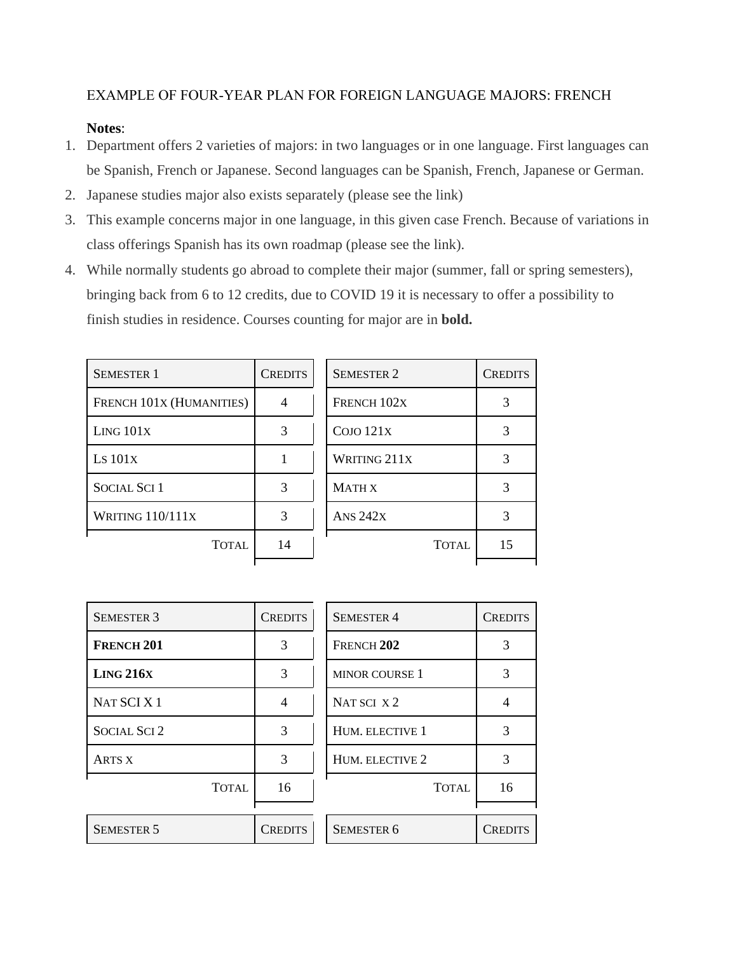## EXAMPLE OF FOUR‐YEAR PLAN FOR FOREIGN LANGUAGE MAJORS: FRENCH

## **Notes**:

- 1. Department offers 2 varieties of majors: in two languages or in one language. First languages can be Spanish, French or Japanese. Second languages can be Spanish, French, Japanese or German.
- 2. Japanese studies major also exists separately (please see the link)
- 3. This example concerns major in one language, in this given case French. Because of variations in class offerings Spanish has its own roadmap (please see the link).
- 4. While normally students go abroad to complete their major (summer, fall or spring semesters), bringing back from 6 to 12 credits, due to COVID 19 it is necessary to offer a possibility to finish studies in residence. Courses counting for major are in **bold.**

| <b>SEMESTER 1</b>        | <b>CREDITS</b> | <b>SEMESTER 2</b> | <b>CREDITS</b> |
|--------------------------|----------------|-------------------|----------------|
| FRENCH 101X (HUMANITIES) | 4              | FRENCH 102X       |                |
| LING 101X                | 3              | COJO 121X         |                |
| LS 101X                  |                | WRITING 211X      |                |
| <b>SOCIAL SCI 1</b>      | 3              | <b>MATH X</b>     |                |
| WRITING 110/111X         | 3              | <b>ANS 242X</b>   |                |
| <b>TOTAL</b>             | 14             | <b>TOTAL</b>      | 15             |
|                          |                |                   |                |

| <b>SEMESTER 3</b>   | <b>CREDITS</b> | <b>SEMESTER 4</b>     | <b>CREDITS</b> |
|---------------------|----------------|-----------------------|----------------|
| <b>FRENCH 201</b>   | 3              | FRENCH <sub>202</sub> | 3              |
| LING 216X           | 3              | <b>MINOR COURSE 1</b> | 3              |
| NAT SCI X 1         | 4              | NAT SCI X2            |                |
| <b>SOCIAL SCI 2</b> | 3              | HUM. ELECTIVE 1       | 3              |
| <b>ARTS X</b>       | 3              | HUM. ELECTIVE 2       | 3              |
| <b>TOTAL</b>        | 16             | <b>TOTAL</b>          | 16             |
|                     |                |                       |                |
| <b>SEMESTER 5</b>   | <b>CREDITS</b> | <b>SEMESTER 6</b>     | Credits        |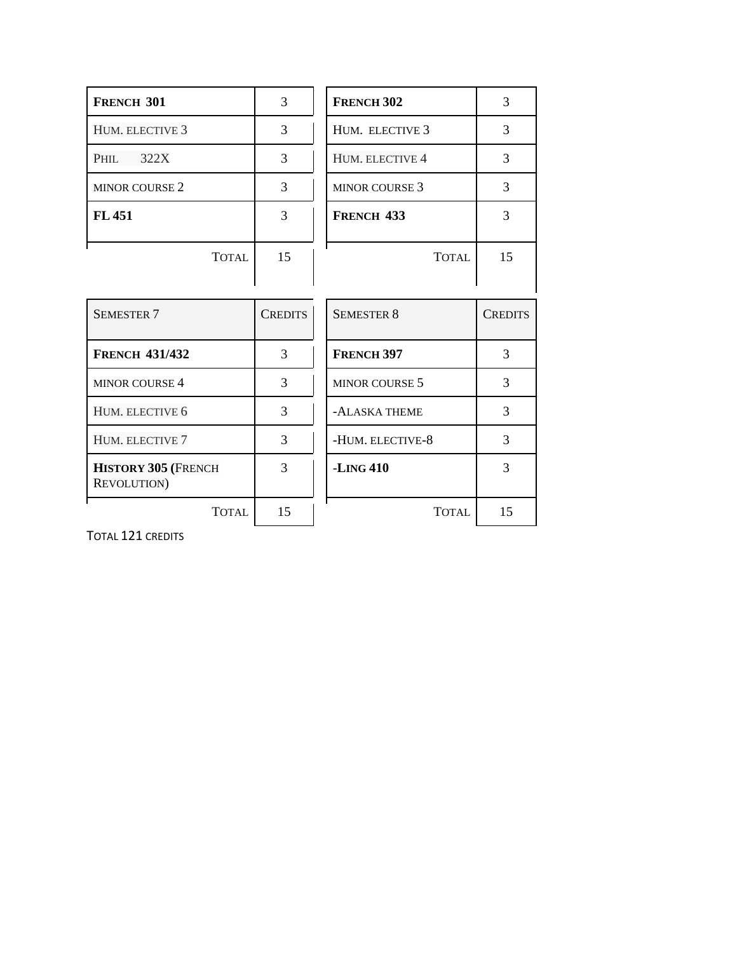| <b>FRENCH 301</b>                                 | 3              | <b>FRENCH 302</b>     | 3              |
|---------------------------------------------------|----------------|-----------------------|----------------|
| HUM. ELECTIVE 3                                   | 3              | HUM. ELECTIVE 3       | 3              |
| 322X<br>Phil                                      | 3              | HUM. ELECTIVE 4       | 3              |
| <b>MINOR COURSE 2</b>                             | 3              | <b>MINOR COURSE 3</b> | 3              |
| FL 451                                            | 3              | FRENCH <sub>433</sub> | 3              |
| <b>TOTAL</b>                                      | 15             | <b>TOTAL</b>          | 15             |
|                                                   |                |                       |                |
| <b>SEMESTER 7</b>                                 | <b>CREDITS</b> | <b>SEMESTER 8</b>     | <b>CREDITS</b> |
|                                                   |                |                       |                |
| <b>FRENCH 431/432</b>                             | 3              | <b>FRENCH 397</b>     | 3              |
| <b>MINOR COURSE 4</b>                             | 3              | <b>MINOR COURSE 5</b> | 3              |
| HUM. ELECTIVE 6                                   | 3              | -ALASKA THEME         | 3              |
| HUM. ELECTIVE 7                                   | 3              | -HUM. ELECTIVE-8      | 3              |
| <b>HISTORY 305 (FRENCH</b><br><b>REVOLUTION</b> ) | 3              | $-LING 410$           | 3              |
| <b>TOTAL</b>                                      | 15             | <b>TOTAL</b>          | 15             |

TOTAL 121 CREDITS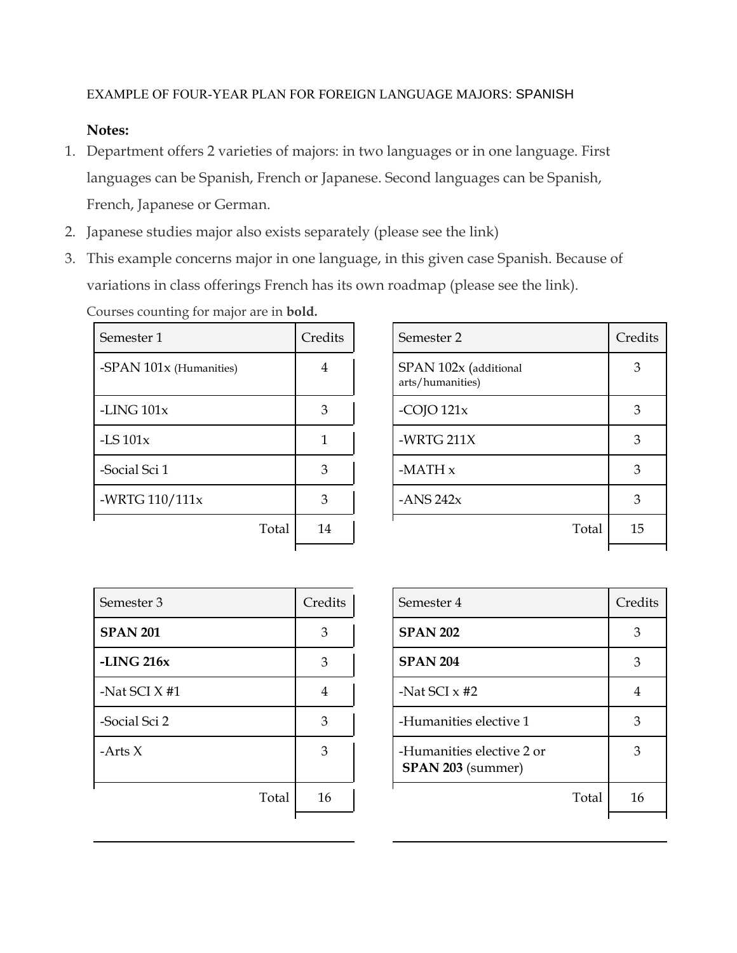## EXAMPLE OF FOUR‐YEAR PLAN FOR FOREIGN LANGUAGE MAJORS: SPANISH

## **Notes:**

- 1. Department offers 2 varieties of majors: in two languages or in one language. First languages can be Spanish, French or Japanese. Second languages can be Spanish, French, Japanese or German.
- 2. Japanese studies major also exists separately (please see the link)
- 3. This example concerns major in one language, in this given case Spanish. Because of variations in class offerings French has its own roadmap (please see the link). Courses counting for major are in **bold.**

| Semester 1                | Credits | Semester 2                                | Creo |
|---------------------------|---------|-------------------------------------------|------|
| -SPAN $101x$ (Humanities) | 4       | SPAN 102x (additional<br>arts/humanities) | 3    |
| -LING $101x$              | 3       | -COJO $121x$                              | 3    |
| -LS $101x$                |         | -WRTG $211X$                              | 3    |
| -Social Sci 1             | 3       | $-MATH x$                                 | 3    |
| -WRTG 110/111x            | 3       | -ANS $242x$                               | 3    |
| Total                     | 14      | Total                                     | 1!   |
|                           |         |                                           |      |

| Semester 1              | Credits        | Semester 2                                | Credits |
|-------------------------|----------------|-------------------------------------------|---------|
| -SPAN 101x (Humanities) | $\overline{4}$ | SPAN 102x (additional<br>arts/humanities) | 3       |
| -LING $101x$            | 3              | -COJO $121x$                              | 3       |
| $-LS$ 101 $x$           |                | -WRTG 211X                                | 3       |
| -Social Sci 1           | 3              | $-MATH x$                                 | 3       |
| -WRTG 110/111x          | 3              | -ANS $242x$                               | 3       |
| Total                   | 14             | Total                                     | 15      |
|                         |                |                                           |         |

| Semester 3      | Credits | Semester 4                                     | Creq           |
|-----------------|---------|------------------------------------------------|----------------|
| <b>SPAN 201</b> | 3       | <b>SPAN 202</b>                                | 3              |
| -LING $216x$    | 3       | <b>SPAN 204</b>                                | 3              |
| -Nat SCI $X$ #1 | 4       | -Nat SCI $\times$ #2                           | $\overline{4}$ |
| -Social Sci 2   | 3       | -Humanities elective 1                         | 3              |
| -Arts $X$       | 3       | -Humanities elective 2 or<br>SPAN 203 (summer) | 3              |
| Total           | 16      | Total                                          | 1 <sub>0</sub> |
|                 |         |                                                |                |

| Semester 3      | Credits | Semester 4                                            |       |    |
|-----------------|---------|-------------------------------------------------------|-------|----|
| <b>SPAN 201</b> | 3       | <b>SPAN 202</b>                                       |       |    |
| -LING $216x$    | 3       | <b>SPAN 204</b>                                       |       | 3  |
| -Nat SCI X #1   | 4       | -Nat SCI $\times$ #2                                  |       | 4  |
| -Social Sci 2   | 3       | -Humanities elective 1                                |       | 3  |
| -Arts $X$       | 3       | -Humanities elective 2 or<br><b>SPAN 203</b> (summer) |       | 3  |
| Total           | 16      |                                                       | Total | 16 |
|                 |         |                                                       |       |    |